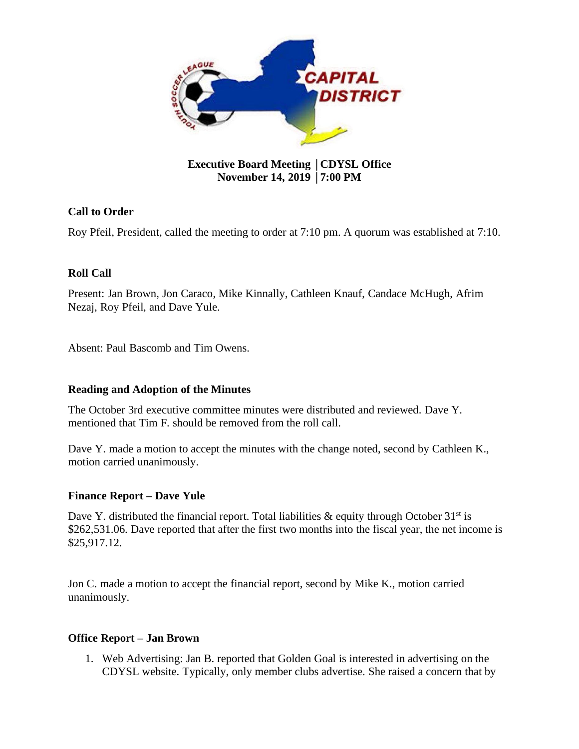

## **Executive Board Meeting** │**CDYSL Office November 14, 2019** │**7:00 PM**

# **Call to Order**

Roy Pfeil, President, called the meeting to order at 7:10 pm. A quorum was established at 7:10.

## **Roll Call**

Present: Jan Brown, Jon Caraco, Mike Kinnally, Cathleen Knauf, Candace McHugh, Afrim Nezaj, Roy Pfeil, and Dave Yule.

Absent: Paul Bascomb and Tim Owens.

## **Reading and Adoption of the Minutes**

The October 3rd executive committee minutes were distributed and reviewed. Dave Y. mentioned that Tim F. should be removed from the roll call.

Dave Y. made a motion to accept the minutes with the change noted, second by Cathleen K., motion carried unanimously.

## **Finance Report – Dave Yule**

Dave Y. distributed the financial report. Total liabilities  $\&$  equity through October 31<sup>st</sup> is \$262,531.06. Dave reported that after the first two months into the fiscal year, the net income is \$25,917.12.

Jon C. made a motion to accept the financial report, second by Mike K., motion carried unanimously.

#### **Office Report – Jan Brown**

1. Web Advertising: Jan B. reported that Golden Goal is interested in advertising on the CDYSL website. Typically, only member clubs advertise. She raised a concern that by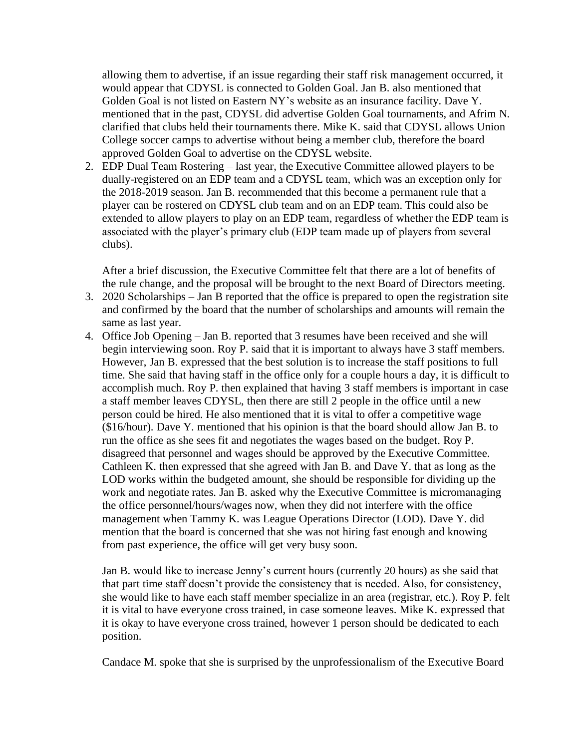allowing them to advertise, if an issue regarding their staff risk management occurred, it would appear that CDYSL is connected to Golden Goal. Jan B. also mentioned that Golden Goal is not listed on Eastern NY's website as an insurance facility. Dave Y. mentioned that in the past, CDYSL did advertise Golden Goal tournaments, and Afrim N. clarified that clubs held their tournaments there. Mike K. said that CDYSL allows Union College soccer camps to advertise without being a member club, therefore the board approved Golden Goal to advertise on the CDYSL website.

2. EDP Dual Team Rostering – last year, the Executive Committee allowed players to be dually-registered on an EDP team and a CDYSL team, which was an exception only for the 2018-2019 season. Jan B. recommended that this become a permanent rule that a player can be rostered on CDYSL club team and on an EDP team. This could also be extended to allow players to play on an EDP team, regardless of whether the EDP team is associated with the player's primary club (EDP team made up of players from several clubs).

After a brief discussion, the Executive Committee felt that there are a lot of benefits of the rule change, and the proposal will be brought to the next Board of Directors meeting.

- 3. 2020 Scholarships Jan B reported that the office is prepared to open the registration site and confirmed by the board that the number of scholarships and amounts will remain the same as last year.
- 4. Office Job Opening Jan B. reported that 3 resumes have been received and she will begin interviewing soon. Roy P. said that it is important to always have 3 staff members. However, Jan B. expressed that the best solution is to increase the staff positions to full time. She said that having staff in the office only for a couple hours a day, it is difficult to accomplish much. Roy P. then explained that having 3 staff members is important in case a staff member leaves CDYSL, then there are still 2 people in the office until a new person could be hired. He also mentioned that it is vital to offer a competitive wage (\$16/hour). Dave Y. mentioned that his opinion is that the board should allow Jan B. to run the office as she sees fit and negotiates the wages based on the budget. Roy P. disagreed that personnel and wages should be approved by the Executive Committee. Cathleen K. then expressed that she agreed with Jan B. and Dave Y. that as long as the LOD works within the budgeted amount, she should be responsible for dividing up the work and negotiate rates. Jan B. asked why the Executive Committee is micromanaging the office personnel/hours/wages now, when they did not interfere with the office management when Tammy K. was League Operations Director (LOD). Dave Y. did mention that the board is concerned that she was not hiring fast enough and knowing from past experience, the office will get very busy soon.

Jan B. would like to increase Jenny's current hours (currently 20 hours) as she said that that part time staff doesn't provide the consistency that is needed. Also, for consistency, she would like to have each staff member specialize in an area (registrar, etc.). Roy P. felt it is vital to have everyone cross trained, in case someone leaves. Mike K. expressed that it is okay to have everyone cross trained, however 1 person should be dedicated to each position.

Candace M. spoke that she is surprised by the unprofessionalism of the Executive Board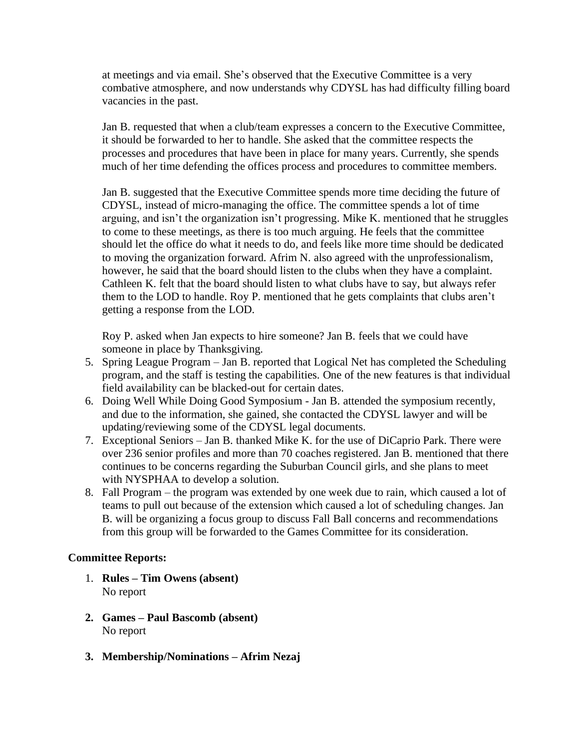at meetings and via email. She's observed that the Executive Committee is a very combative atmosphere, and now understands why CDYSL has had difficulty filling board vacancies in the past.

Jan B. requested that when a club/team expresses a concern to the Executive Committee, it should be forwarded to her to handle. She asked that the committee respects the processes and procedures that have been in place for many years. Currently, she spends much of her time defending the offices process and procedures to committee members.

Jan B. suggested that the Executive Committee spends more time deciding the future of CDYSL, instead of micro-managing the office. The committee spends a lot of time arguing, and isn't the organization isn't progressing. Mike K. mentioned that he struggles to come to these meetings, as there is too much arguing. He feels that the committee should let the office do what it needs to do, and feels like more time should be dedicated to moving the organization forward. Afrim N. also agreed with the unprofessionalism, however, he said that the board should listen to the clubs when they have a complaint. Cathleen K. felt that the board should listen to what clubs have to say, but always refer them to the LOD to handle. Roy P. mentioned that he gets complaints that clubs aren't getting a response from the LOD.

Roy P. asked when Jan expects to hire someone? Jan B. feels that we could have someone in place by Thanksgiving.

- 5. Spring League Program Jan B. reported that Logical Net has completed the Scheduling program, and the staff is testing the capabilities. One of the new features is that individual field availability can be blacked-out for certain dates.
- 6. Doing Well While Doing Good Symposium Jan B. attended the symposium recently, and due to the information, she gained, she contacted the CDYSL lawyer and will be updating/reviewing some of the CDYSL legal documents.
- 7. Exceptional Seniors Jan B. thanked Mike K. for the use of DiCaprio Park. There were over 236 senior profiles and more than 70 coaches registered. Jan B. mentioned that there continues to be concerns regarding the Suburban Council girls, and she plans to meet with NYSPHAA to develop a solution.
- 8. Fall Program the program was extended by one week due to rain, which caused a lot of teams to pull out because of the extension which caused a lot of scheduling changes. Jan B. will be organizing a focus group to discuss Fall Ball concerns and recommendations from this group will be forwarded to the Games Committee for its consideration.

#### **Committee Reports:**

- 1. **Rules – Tim Owens (absent)** No report
- **2. Games – Paul Bascomb (absent)** No report
- **3. Membership/Nominations – Afrim Nezaj**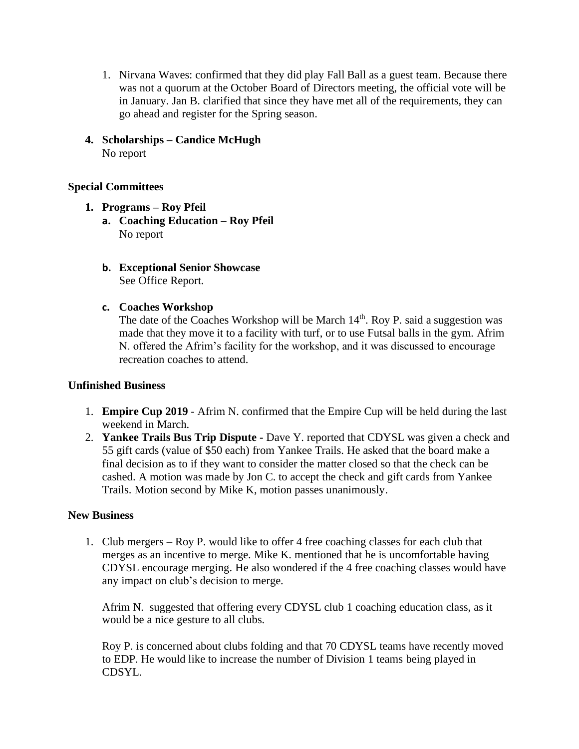- 1. Nirvana Waves: confirmed that they did play Fall Ball as a guest team. Because there was not a quorum at the October Board of Directors meeting, the official vote will be in January. Jan B. clarified that since they have met all of the requirements, they can go ahead and register for the Spring season.
- **4. Scholarships – Candice McHugh** No report

### **Special Committees**

- **1. Programs – Roy Pfeil**
	- **a. Coaching Education – Roy Pfeil** No report
	- **b. Exceptional Senior Showcase** See Office Report.
	- **c. Coaches Workshop**

The date of the Coaches Workshop will be March  $14<sup>th</sup>$ . Roy P. said a suggestion was made that they move it to a facility with turf, or to use Futsal balls in the gym. Afrim N. offered the Afrim's facility for the workshop, and it was discussed to encourage recreation coaches to attend.

#### **Unfinished Business**

- 1. **Empire Cup 2019** Afrim N. confirmed that the Empire Cup will be held during the last weekend in March.
- 2. **Yankee Trails Bus Trip Dispute -** Dave Y. reported that CDYSL was given a check and 55 gift cards (value of \$50 each) from Yankee Trails. He asked that the board make a final decision as to if they want to consider the matter closed so that the check can be cashed. A motion was made by Jon C. to accept the check and gift cards from Yankee Trails. Motion second by Mike K, motion passes unanimously.

#### **New Business**

1. Club mergers – Roy P. would like to offer 4 free coaching classes for each club that merges as an incentive to merge. Mike K. mentioned that he is uncomfortable having CDYSL encourage merging. He also wondered if the 4 free coaching classes would have any impact on club's decision to merge.

Afrim N. suggested that offering every CDYSL club 1 coaching education class, as it would be a nice gesture to all clubs.

Roy P. is concerned about clubs folding and that 70 CDYSL teams have recently moved to EDP. He would like to increase the number of Division 1 teams being played in CDSYL.